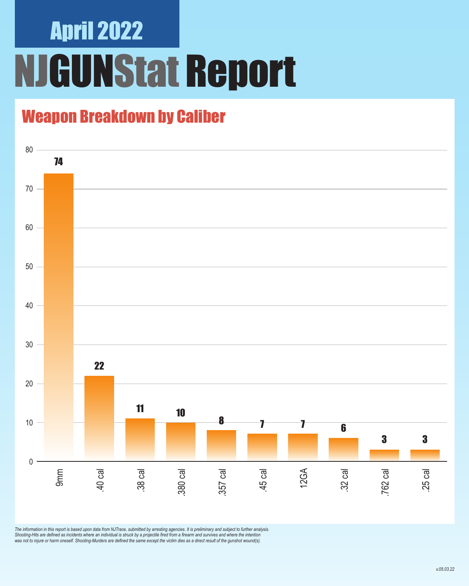### April 2022 NJGUNStat Report

### Weapon Breakdown by Caliber



*The information in this report is based upon data from NJTrace, submitted by arresting agencies. It is preliminary and subject to further analysis. Shooting-Hits are defined as incidents where an individual is struck by a projectile fired from a firearm and survives and where the intention was not to injure or harm oneself. Shooting-Murders are defined the same except the victim dies as a direct result of the gunshot wound(s).*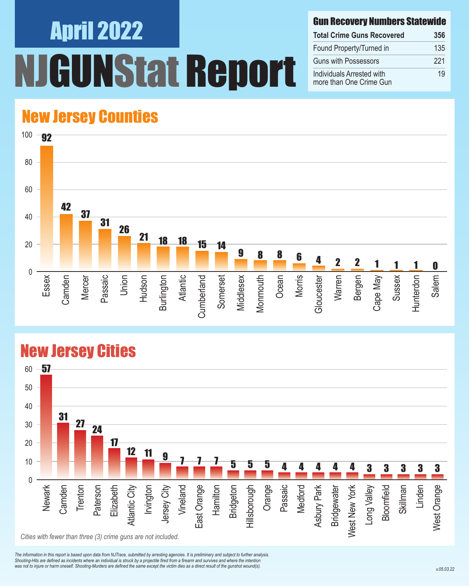# April 2022 **INStat Report**

#### Gun Recovery Numbers Statewide

| <b>Total Crime Guns Recovered</b>                    | 356 |
|------------------------------------------------------|-----|
| Found Property/Turned in                             | 135 |
| <b>Guns with Possessors</b>                          | 221 |
| Individuals Arrested with<br>more than One Crime Gun | 19  |

#### New Jersey Counties



#### New Jersey Cities



*The information in this report is based upon data from NJTrace, submitted by arresting agencies. It is preliminary and subject to further analysis. Shooting-Hits are defined as incidents where an individual is struck by a projectile fired from a firearm and survives and where the intention*  was not to injure or harm oneself. Shooting-Murders are defined the same except the victim dies as a direct result of the gunshot wound(s).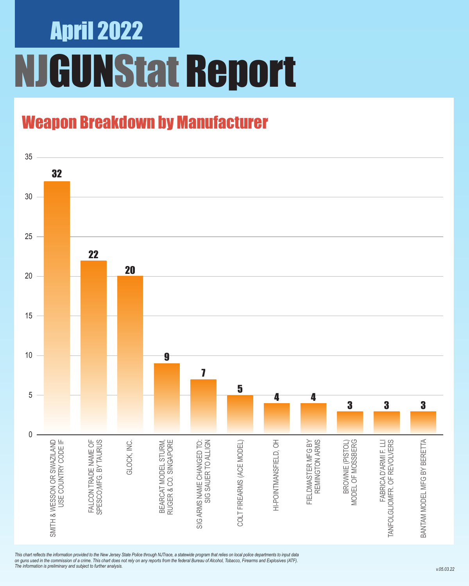## April 2022 NJGUNStat Report

### Weapon Breakdown by Manufacturer



*This chart reflects the information provided to the New Jersey State Police through NJTrace, a statewide program that relies on local police departments to input data on guns used in the commission of a crime. This chart does not rely on any reports from the federal Bureau of Alcohol, Tobacco, Firearms and Explosives (ATF). The information is preliminary and subject to further analysis.*